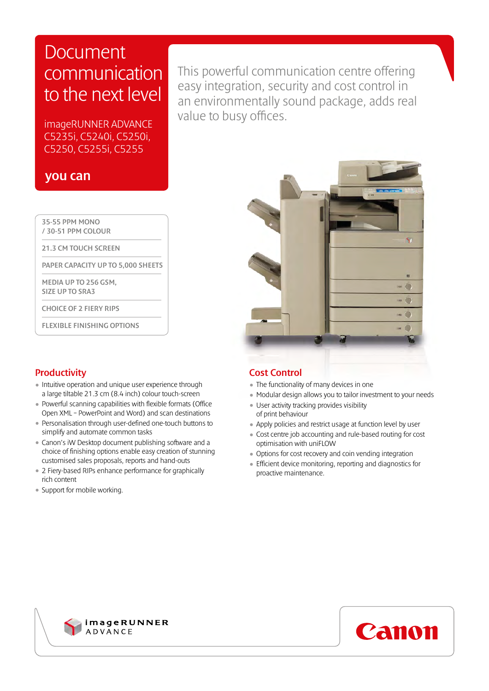# Document communication to the next level

imageRUNNER ADVANCE C5235i, C5240i, C5250i, C5250, C5255i, C5255

### you can

 35-55 PPM MONO / 30-51 PPM COLOUR

21.3 CM TOUCH SCREEN

PAPER CAPACITY UP TO 5,000 SHEETS

 MEDIA UP TO 256 GSM, SIZE UP TO SRA3

CHOICE OF 2 FIERY RIPS

FLEXIBLE FINISHING OPTIONS

### **Productivity**

- Intuitive operation and unique user experience through a large tiltable 21.3 cm (8.4 inch) colour touch-screen
- Powerful scanning capabilities with flexible formats (Office Open XML – PowerPoint and Word) and scan destinations
- Personalisation through user-defined one-touch buttons to simplify and automate common tasks
- Canon's iW Desktop document publishing software and a choice of finishing options enable easy creation of stunning customised sales proposals, reports and hand-outs
- 2 Fiery-based RIPs enhance performance for graphically rich content
- Support for mobile working.

## This powerful communication centre offering easy integration, security and cost control in an environmentally sound package, adds real value to busy offices.



### Cost Control

- The functionality of many devices in one
- Modular design allows you to tailor investment to your needs
- User activity tracking provides visibility of print behaviour
- Apply policies and restrict usage at function level by user
- Cost centre job accounting and rule-based routing for cost optimisation with uniFLOW
- Options for cost recovery and coin vending integration
- Efficient device monitoring, reporting and diagnostics for proactive maintenance.



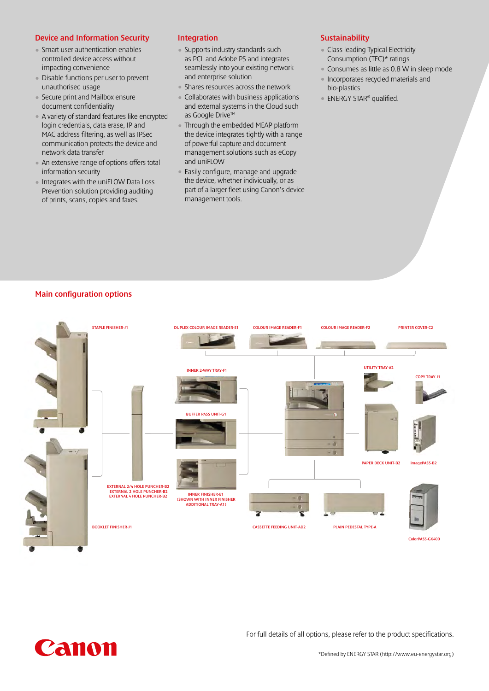#### Device and Information Security

- Smart user authentication enables controlled device access without impacting convenience
- Disable functions per user to prevent unauthorised usage
- Secure print and Mailbox ensure document confidentiality
- A variety of standard features like encrypted login credentials, data erase, IP and MAC address filtering, as well as IPSec communication protects the device and network data transfer
- An extensive range of options offers total information security
- Integrates with the uniFLOW Data Loss Prevention solution providing auditing of prints, scans, copies and faxes.

#### Integration

- Supports industry standards such as PCL and Adobe PS and integrates seamlessly into your existing network and enterprise solution
- Shares resources across the network
- Collaborates with business applications and external systems in the Cloud such as Google Drive™
- Through the embedded MEAP platform the device integrates tightly with a range of powerful capture and document management solutions such as eCopy and uniFLOW
- Easily configure, manage and upgrade the device, whether individually, or as part of a larger fleet using Canon's device management tools.

#### **Sustainability**

- Class leading Typical Electricity Consumption (TEC)\* ratings
- Consumes as little as 0.8 W in sleep mode
- Incorporates recycled materials and bio-plastics
- ENERGY STAR® qualified.

#### Main configuration options





For full details of all options, please refer to the product specifications.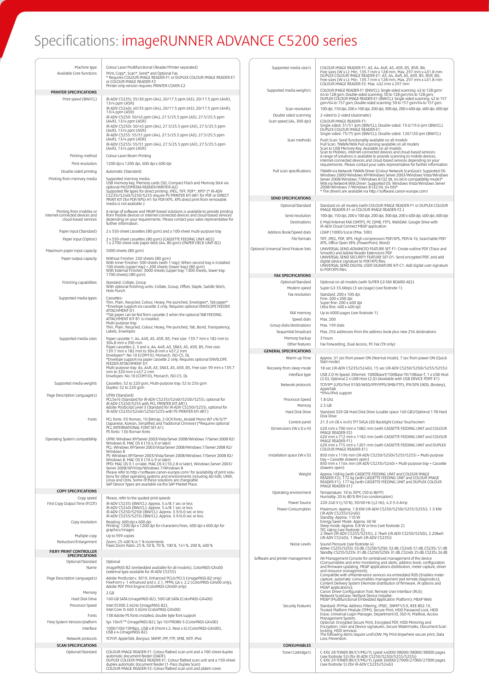# Specifications: imageRUNNER ADVANCE C5200 series

| Machine type<br>Available Core functions                                           | Colour Laser Multifunctional (Reader/Printer separated)<br>Print, Copy*, Scan*, Send* and Optional Fax<br>* Requires COLOUR IMAGE READER-F1 or DUPLEX COLOUR IMAGE READER-E1<br>or COLOUR IMAGE READER-F2                      | Supported media size/s                         | COLOUR IMAGE READER-F1: A3, A4, A4R, A5, A5R, B5, B5R, B6;<br>Free sizes (W x L): Min. 139.7 mm x 128 mm, Max. 297 mm x 431.8 mm<br>DUPLEX COLOUR IMAGE READER-E1: A3, A4, A4R, A5, A5R, B5, B5R, B6;<br>Free sizes (W x L): Min. 139.7 mm x 128 mm, Max. 297 mm x 431.8 mm<br>COLOUR IMAGE READER-F2: Max. 432 mm x 297 mm |
|------------------------------------------------------------------------------------|--------------------------------------------------------------------------------------------------------------------------------------------------------------------------------------------------------------------------------|------------------------------------------------|-----------------------------------------------------------------------------------------------------------------------------------------------------------------------------------------------------------------------------------------------------------------------------------------------------------------------------|
| PRINTER SPECIFICATIONS                                                             | Printer only version requires PRINTER COVER-C2                                                                                                                                                                                 | Supported media weight/s                       | COLOUR IMAGE READER-F1 (BW/CL): Single-sided scanning: 42 to 128 gsm/<br>64 to 128 gsm; Double-sided scanning: 50 to 128 gsm/64 to 128 gsm;<br>DUPLEX COLOUR IMAGE READER-E1 (BW/CL): Single-sided scanning: 42 to 157                                                                                                      |
| Print speed (BW/CL)                                                                | iR-ADV C5235i: 35/30 ppm (A4), 20/17.5 ppm (A3), 20/17.5 ppm (A4R),<br>13/4 ppm (A5R)<br>iR-ADV C5240i: 40/35 ppm (A4), 20/17.5 ppm (A3), 20/17.5 ppm (A4R),                                                                   | Scan resolution                                | gsm/64 to 157 gsm; Double-sided scanning: 50 to 157 gsm/64 to 157 gsm<br>100 dpi, 150 dpi, 200 x 100 dpi, 200 dpi, 300 dpi, 200 x 400 dpi, 400 dpi, 600 dpi                                                                                                                                                                 |
|                                                                                    | 13/4 ppm (A5R)<br>iR-ADV C5250: 50/45 ppm (A4), 27.5/25.5 ppm (A3), 27.5/25.5 ppm                                                                                                                                              | Double sided scanning                          | 2-sided to 2-sided (Automatic)                                                                                                                                                                                                                                                                                              |
|                                                                                    | (A4R), 13/4 ppm (A5R)<br>iR-ADV C5250i: 50/45 ppm (A4), 27.5/25.5 ppm (A3), 27.5/25.5 ppm                                                                                                                                      | Scan speed (A4, 300 dpi)                       | COLOUR IMAGE READER-F1:<br>Single-sided: 51/51 ipm (BW/CL); Double-sided: 19.6/19.6 ipm (BW/CL)                                                                                                                                                                                                                             |
|                                                                                    | (A4R), 13/4 ppm (A5R)<br>iR-ADV C5255: 55/51 ppm (A4), 27.5/25.5 ppm (A3), 27.5/25.5 ppm                                                                                                                                       |                                                | DUPLEX COLOUR IMAGE READER-E1:<br>Single-sided: 75/75 ipm (BW/CL); Double-sided: 120/120 ipm (BW/CL)                                                                                                                                                                                                                        |
|                                                                                    | (A4R), 13/4 ppm (A5R)<br>iR-ADV C5255i: 55/51 ppm (A4), 27.5/25.5 ppm (A3), 27.5/25.5 ppm                                                                                                                                      | Scan methods                                   | Push Scan: Send functionality available on all models<br>Pull Scan: TWAIN/WIA Pull scanning available on all models                                                                                                                                                                                                         |
|                                                                                    | (A4R), 13/4 ppm (A5R)                                                                                                                                                                                                          |                                                | Scan to USB Memory Key: Available on all models<br>Scan to Mobiles, internet-connected devices and cloud-based services:                                                                                                                                                                                                    |
| Printing method<br>Print resolution                                                | Colour Laser Beam Printing<br>1200 dpi x 1200 dpi, 600 dpi x 600 dpi                                                                                                                                                           |                                                | A range of solutions is available to provide scanning to mobile devices,<br>internet-connected devices and cloud-based services depending on your<br>requirements. Please contact your sales representative for further information.                                                                                        |
| Double sided printing                                                              | Automatic (Standard)                                                                                                                                                                                                           | Pull scan specifications                       | TWAIN via Network TWAIN Driver (Colour Network ScanGear): Supported OS:                                                                                                                                                                                                                                                     |
| Printing from memory media                                                         | Supported memory media:<br>USB memory key, Memory cards (SD, Compact Flash and Memory Stick via                                                                                                                                |                                                | Windows 2000/Windows XP/Windows Server 2003/Windows Vista/Windows<br>Server 2008/Windows 7/Windows 8 (32 bit, 64 bit in compatibility mode)*                                                                                                                                                                                |
|                                                                                    | optional MULTIMEDIA READER/WRITER-A2)                                                                                                                                                                                          |                                                | WIA via Network WIA Driver: Supported OS: Windows Vista/Windows Server<br>2008/Windows 7/Windows 8 (32 bit, 64 bit)*<br>* The drivers are available via http://software.canon-europe.com/                                                                                                                                   |
|                                                                                    | Supported file types for direct printing: JPEG, TIFF, PDF*, XPS* (* IR-ADV<br>C5235i/5240i/5250/5255 require PS PRINTER KIT-AR1 for PDF or DIRECT<br>PRINT KIT (for PDF/XPS)-H1 for PDF/XPS. XPS direct print from removable   | <b>SEND SPECIFICATIONS</b>                     |                                                                                                                                                                                                                                                                                                                             |
|                                                                                    | media is not available.)                                                                                                                                                                                                       | Optional/Standard                              | Standard on all models (with COLOUR IMAGE READER-F1 or DUPLEX COLOUR<br>IMAGE READER-E1 or COLOUR IMAGE READER-F2.)                                                                                                                                                                                                         |
| Printing from mobiles or<br>internet-connected devices and<br>cloud-based services | A range of software and MEAP-based solutions is available to provide printing<br>from mobile devices or internet-connected devices and cloud-based services                                                                    | Send resolution                                | 100 dpi, 150 dpi, 200 x 100 dpi, 200 dpi, 300 dpi, 200 x 400 dpi, 400 dpi, 600 dpi                                                                                                                                                                                                                                          |
|                                                                                    | depending on your requirements. Please contact your sales representative for<br>further information.                                                                                                                           | Destinations                                   | E-Mail/Internet FAX (SMTP), PC (SMB, FTP), WebDAV. Google Drive with<br>iR-ADV Cloud Connect MEAP application                                                                                                                                                                                                               |
| Paper input (Standard)                                                             | 2 x 550-sheet cassettes (80 gsm) and a 100-sheet multi-purpose tray                                                                                                                                                            | Address Book/Speed dials                       | LDAP (1000)/Local (Max. 500)                                                                                                                                                                                                                                                                                                |
| Paper input (Option)                                                               | 2 x 550-sheet cassettes (80 gsm) (CASSETTE FEEDING UNIT-AD2)<br>1 x 2700-sheet side paper deck (A4, 80 gsm) (PAPER DECK UNIT-B2)                                                                                               | File formats                                   | TIFF, JPEG, PDF, XPS, High compression PDF/XPS, PDF/A-1b, Searchable PDF/<br>XPS, Office Open XML (PowerPoint, Word)                                                                                                                                                                                                        |
| Maximum paper input capacity                                                       | 5000 sheets (80 qsm)                                                                                                                                                                                                           | Optional Universal Send Feature Sets           | UNIVERSAL SEND ADVANCED FEATURE SET-F1: Create outline PDF (Trace and<br>Smooth) and Adobe Reader Extensions PDF                                                                                                                                                                                                            |
| Paper output capacity                                                              | Without Finisher: 250 sheets (80 gsm)<br>With Inner Finisher: 500 sheets (with 1 tray); When second tray is installed:<br>100 sheets (upper tray) + 200 sheets (lower tray) (80 gsm)                                           |                                                | UNIVERSAL SEND SECURITY FEATURE SET-D1: Send encrypted PDF, and add<br>digital device signature to PDF/XPS files.<br>UNIVERSAL SEND DIGITAL USER SIGNATURE KIT-C1: Add digital user signature                                                                                                                               |
|                                                                                    | With External Finisher: 3000 sheets (upper tray: 1300 sheets, lower tray:<br>1700 sheets) (80 gsm)                                                                                                                             |                                                | to PDF/XPS files.                                                                                                                                                                                                                                                                                                           |
| Finishing capabilities                                                             | Standard: Collate, Group                                                                                                                                                                                                       | <b>FAX SPECIFICATIONS</b><br>Optional/Standard | Optional on all models (with SUPER G3 FAX BOARD-AE2)                                                                                                                                                                                                                                                                        |
|                                                                                    | With optional finishing units: Collate, Group, Offset, Staple, Saddle Stitch,<br>Hole Punch                                                                                                                                    | Modem speed                                    | Super G3 33.6kbps (3 sec/page) (see footnote 1)                                                                                                                                                                                                                                                                             |
| Supported media types                                                              | Cassettes:                                                                                                                                                                                                                     | Fax resolution                                 | Standard: 200 x 100 dpi<br>Fine: 200 x 200 dpi                                                                                                                                                                                                                                                                              |
|                                                                                    | Thin, Plain, Recycled, Colour, Heavy, Pre-punched, Envelopes*, Tab paper*<br>*Envelope support via cassette 2 only. Requires optional ENVELOPE FEEDER<br>ATTACHMENT-D1.                                                        |                                                | Super fine: 200 x 400 dpi<br>Ultra fine: 400 x 400 dpi                                                                                                                                                                                                                                                                      |
|                                                                                    | *Tab paper can be fed from cassette 2 when the optional TAB FEEDING<br>ATTACHMENT KIT-B1 is installed.                                                                                                                         | FAX memory<br>Speed dials                      | Up to 6000 pages (see footnote 1)<br>Max. 200                                                                                                                                                                                                                                                                               |
|                                                                                    | Multi-purpose tray:<br>Thin, Plain, Recycled, Colour, Heavy, Pre-punched, Tab, Bond, Transparency,                                                                                                                             | Group dials/destinations                       | Max. 199 dials                                                                                                                                                                                                                                                                                                              |
| Supported media sizes                                                              | Labels, Envelopes<br>Paper cassette 1: A4, A4R, A5, A5R, B5, Free size: 139.7 mm x 182 mm to                                                                                                                                   | Sequential broadcast<br>Memory backup          | Max. 256 addresses from the address book plus new 256 destinations<br>3 hours                                                                                                                                                                                                                                               |
|                                                                                    | 304.8 mm x 390 mm<br>Paper cassettes 2, 3 and 4: A4, A4R, A3, SRA3, A5, A5R, B5, Free size:                                                                                                                                    | Other features                                 | Fax Forwarding, Dual Access, PC Fax (TX only)                                                                                                                                                                                                                                                                               |
|                                                                                    | 139.7 mm x 182 mm to 304.8 mm x 457.2 mm<br>Envelopes*: No.10 (COM10), Monarch, ISO-C5, DL                                                                                                                                     | <b>GENERAL SPECIFICATIONS</b><br>Warm-up Time  | Approx. 31 sec from power ON (Normal mode), 7 sec from power ON (Quick                                                                                                                                                                                                                                                      |
|                                                                                    | *Envelope support via paper cassette 2 only. Requires optional ENVELOPE<br>FEEDER ATTACHMENT-D1                                                                                                                                |                                                | Start mode)                                                                                                                                                                                                                                                                                                                 |
|                                                                                    | Multi-purpose tray: A4, A4R, A3, SRA3, A5, A5R, B5, Free size: 99 mm x 139.7<br>mm to 320 mm x 457.2 mm<br>Envelopes: No.10 (COM10), Monarch, ISO-C5, DL                                                                       | Recovery from sleep mode<br>Interface type     | 18 sec (iR-ADV C5235i/5240i), 15 sec (iR-ADV C5250/5250i/5255/5255i)<br>USB 2.0 Hi-Speed, Ethernet: 1000BaseT/100Base-TX/10Base-T, 1 x USB Host                                                                                                                                                                             |
| Supported media weights                                                            | Cassettes: 52 to 220 gsm, Multi-purpose tray: 52 to 256 gsm                                                                                                                                                                    | Network protocols                              | (2.0), Optional 2 x USB Host (2.0) (Available with USB DEVICE PORT-E1)<br>TCP/IP* (LPD/Port 9100/WSD/IPP/IPPS/SMB/FTP), IPX/SPX (NDS, Bindery),                                                                                                                                                                             |
| Page Description Language(s)                                                       | Duplex: 52 to 220 gsm<br>UFRII (Standard)                                                                                                                                                                                      |                                                | AppleTalk<br>*IPv4/IPv6 support                                                                                                                                                                                                                                                                                             |
|                                                                                    | PCL5e/6 (Standard for iR-ADV C5235i/5240i/5250i/5255i, optional for<br>IR-ADV C5250/5255 with PCL PRINTER KIT-AR1)                                                                                                             | Processor Speed                                | 1.8 Ghz                                                                                                                                                                                                                                                                                                                     |
|                                                                                    | Adobe PostScript Level 3 (Standard for IR-ADV C5250i/5255i, optional for IR-ADV C5235i/5240i/5250/5255 with PS PRINTER KIT-AR1)                                                                                                | Memory<br>Hard Disk Drive                      | 2.5 <sub>GB</sub><br>Standard 320 GB Hard Disk Drive (usable space 160 GB)/Optional 1 TB Hard                                                                                                                                                                                                                               |
| Fonts                                                                              | PCL fonts: 93 Roman, 10 Bitmap, 2 OCR fonts, Andalé Mono WT J/K/S/T*<br>(Japanese, Korean, Simplified and Traditional Chinese) (*Requires optional                                                                             | Control panel                                  | Disk Drive<br>21.3 cm (8.4 inch) TFT SVGA LED Backlight Colour Touchscreen                                                                                                                                                                                                                                                  |
|                                                                                    | PCL INTERNATIONAL FONT SET-A1 )<br>PS fonts: 136 Roman fonts                                                                                                                                                                   | Dimensions (W x D x H)                         | 620 mm x 700 mm x 1082 mm (with CASSETTE FEEDING UNIT and COLOUR<br>IMAGE READER-F2)                                                                                                                                                                                                                                        |
| Operating System compatibility                                                     | UFRII: Windows XP/Server 2003/Vista/Server 2008/Windows 7/Server 2008 R2/                                                                                                                                                      |                                                | 620 mm x 712 mm x 1182 mm (with CASSETTE FEEDING UNIT and COLOUR<br>IMAGE READER-F1)                                                                                                                                                                                                                                        |
|                                                                                    | Windows 8, MAC OS X (10.4.9 or later)<br>PCL: Windows XP/Server 2003/Vista/Server 2008/Windows 7/Server 2008 R2/<br>Windows 8                                                                                                  |                                                | 620 mm x 715 mm x 1201 mm (with CASSETTE FEEDING UNIT and DUPLEX<br>COLOUR IMAGE READER-E1)                                                                                                                                                                                                                                 |
|                                                                                    | PS: Windows XP/Server 2003/Vista/Server 2008/Windows 7/Server 2008 R2/<br>Windows 8, MAC OS X (10.4.9 or later)                                                                                                                | Installation space (W x D)                     | 850 mm x 1196 mm (iR-ADV C5250/5250i/5255/5255i + Multi-purpose<br>tray + Cassette drawers open)                                                                                                                                                                                                                            |
|                                                                                    | PPD: MAC OS 9.1 or later, MAC OS X (10.2.8 or later), Windows Server 2003/<br>Server 2008/XP/Vista/Windows 7/Windows 8                                                                                                         |                                                | 850 mm x 1164 mm (iR-ADV C5235i/5240i + Multi-purpose tray + Cassette<br>drawers open)                                                                                                                                                                                                                                      |
|                                                                                    | Please refer to http://software.canon-europe.com/ for availability of print solu-<br>tions for other operating systems and environments including AS/400, UNIX,                                                                | Weight                                         | Approx.168 kg (with CASSETTE FEEDING UNIT and COLOUR IMAGE<br>READER-F2), 172 kg (with CASSETTE FEEDING UNIT and COLOUR IMAGE<br>READER-F1), 177 kg (with CASSETTE FEEDING UNIT and DUPLEX COLOUR                                                                                                                           |
|                                                                                    | Linux and Citrix. Some of these solutions are chargeable.<br>SAP Device Types are available via the SAP Market Place.                                                                                                          |                                                | IMAGE READER-E1)                                                                                                                                                                                                                                                                                                            |
| <b>COPY SPECIFICATIONS</b><br>Copy speed                                           | Please, refer to the quoted print speeds                                                                                                                                                                                       | Operating environment                          | Temperature: 10 to 30°C (50 to 86°F)<br>Humidity: 20 to 80 % RH (no condensation)                                                                                                                                                                                                                                           |
| First Copy Output Time (FCOT)                                                      | iR-ADV C5235i (BW/CL): Approx. 5.4/8.1 sec or less                                                                                                                                                                             | Power Source                                   | 220-240 V (±10 %), 50/60 Hz (±2 Hz), 4.3-5.6 Amp                                                                                                                                                                                                                                                                            |
|                                                                                    | iR-ADV C5240i (BW/CL): Approx. 5.4/8.1 sec or less<br>iR-ADV C5240i (BW/CL): Approx. 5.4/8.1 sec or less<br>iR-ADV C5250/5250i (BW/CL): Approx. 3.9/6.0 sec or less<br>iR-ADV C5255/5255i (BW/CL): Approx. 3.9/6.0 sec or less | Power Consumption                              | Maximum: Approx. 1.8 KW (iR-ADV C5250/5250i/5255/5255i), 1.5 KW<br>(iR-ADV C5235i/5240i)<br>Standby: Approx. 110 W                                                                                                                                                                                                          |
| Copy resolution                                                                    | Reading: 600 dpi x 600 dpi<br>Printing: 1200 dpi x 1200 dpi for characters/lines, 600 dpi x 600 dpi for                                                                                                                        |                                                | Energy Saver Mode: Approx. 60 W<br>Sleep mode: Approx. 0.8 W or less (see footnote 2)                                                                                                                                                                                                                                       |
| Multiple copy                                                                      | graphics/images<br>Up to 999 copies                                                                                                                                                                                            |                                                | TEC rating (see footnote 3):<br>2.9kwh (iR-ADV C5255/5255i), 2.7kwh (iR-ADV C5250/5250i), 2.20kwh                                                                                                                                                                                                                           |
| Reduction/Enlargement                                                              | Zoom: 25-400 % in 1 % increments<br>Fixed Zoom Ratio: 25 %, 50 %, 70 %, 100 %, 141 %, 200 %, 400 %                                                                                                                             | Noise Levels                                   | (iR-ADV C5240i), 1.9kwh (iR-ADV C5235i)<br>Sound Pressure (see footnote 4)                                                                                                                                                                                                                                                  |
| FIERY PRINT CONTROLLER<br>SPECIFICATIONS                                           |                                                                                                                                                                                                                                |                                                | Active: C5255/5255i: 53 dB, C5250/5250i: 52 dB, C5240i: 51 dB, C5235i: 51 dB<br>Standby: C5255/5255i: 31 dB, C5250/5250i: 31 dB, C5240i: 25 dB, C5235i: 26 dB                                                                                                                                                               |
| Optional/Standard                                                                  | Optional                                                                                                                                                                                                                       | Software and printer management                | iW Management Console for centralised management of the device<br>(Consumables and error monitoring and alerts, address book, configuration<br>and firmware updating, MEAP applications distribution, meter capture, driver                                                                                                 |
| Name                                                                               | imagePASS-B2 (embedded available for all models), ColorPASS-GX400<br>(external type available for iR-ADV C5255)                                                                                                                |                                                | and resource management);<br>Compatible with eMaintenance services via embedded RDS (Enables meter                                                                                                                                                                                                                          |
| Page Description Language(s)                                                       | Adobe PostScript v. 3019, Enhanced PCL6/PCL5 (imagePASS-B2 only)<br>FreeForm v. 1 enhanced and v. 2.1, PPML GA v. 2.2 (ColorPASS-GX400 only),                                                                                  |                                                | capture, automatic consumables management and remote diagnostics);<br>Content Delivery System (Remote distribution of firmware, iR options and                                                                                                                                                                              |
| Memory                                                                             | Adobe PDF Print Engine (ColorPASS-GX400 only)<br>2 GB                                                                                                                                                                          |                                                | MEAP applications);<br>Canon Driver Configuration Tool; Remote User Interface (RUI);                                                                                                                                                                                                                                        |
| Hard Disk Drive                                                                    | 160 GB SATA (imagePASS-B2), 500 GB SATA (ColorPASS-GX400)                                                                                                                                                                      |                                                | Network ScanGear; NetSpot Device Installer;<br>MEAP (Multifunctional Embedded Application Platform); MEAP Web                                                                                                                                                                                                               |
| Processor Speed                                                                    | Intel E5300 2.6GHz (imagePASS-B2)<br>Intel Core i5 660 3.6GHz (ColorPASS-GX400)                                                                                                                                                | Security Features                              | Standard: IP/Mac Address Filtering, IPSEC, SNMP V3.0, IEEE 802.1X,<br>Trusted Platform Module (TPM), Secure Print, HDD Password Lock, HDD                                                                                                                                                                                   |
| Fonts<br>Fiery System Version/platform                                             | 138 Adobe PS fonts installed, double byte font support<br>Sys 10e/E <sup>100</sup> (imagePASS-B2), Sys 10/PRO80-3 (ColorPASS-GX400)                                                                                            |                                                | Erase, Universal Login Manager, Department ID, SSO-H, Mailbox, Access<br>Management System.                                                                                                                                                                                                                                 |
| Interface                                                                          | 1000/100/10Mbps, USB x 8 (Front x 2, Rear x 6) (ColorPASS-GX400),                                                                                                                                                              |                                                | Optional: Encrypted Secure Print, Encrypted PDF, HDD Mirroring and<br>Encryption, User and Device signatures, Secure Watermarks, Document Scan<br>locking, HDD removal.                                                                                                                                                     |
| Network protocols                                                                  | USB x 4 (imagePASS-B2)<br>TCP/IP, AppleTalk, Bonjour, SNMP, IPP, FTP, SMB, NTP, IPv6                                                                                                                                           |                                                | The following items require uniFLOW: My Print Anywhere secure print, Data<br>Loss Prevention.                                                                                                                                                                                                                               |
| <b>SCAN SPECIFICATIONS</b>                                                         |                                                                                                                                                                                                                                | CONSUMABLES                                    |                                                                                                                                                                                                                                                                                                                             |
| Optional/Standard                                                                  | COLOUR IMAGE READER-F1: Colour flatbed scan unit and a 100-sheet duplex<br>automatic document feeder (DADF).<br>DUPLEX COLOUR IMAGE READER-E1: Colour flatbed scan unit and a 150-sheet                                        | Toner Cartridge/s                              | C-EXV 28 TONER BK/CY/MG/YL (yield 44000/38000/38000/38000 pages<br>(see footnote 5)) (for iR-ADV C5250/5250i/5255/5255i)                                                                                                                                                                                                    |
|                                                                                    | duplex automatic document feeder (1-Pass Duplex Scan)<br>COLOUR IMAGE READER-F2: Colour flatbed scan unit and platen cover.                                                                                                    |                                                | C-EXV 29 TONER BK/CY/MG/YL (yield 36000/27000/27000/27000 pages<br>(see footnote 5) (for iR-ADV C5235i/5240i)                                                                                                                                                                                                               |